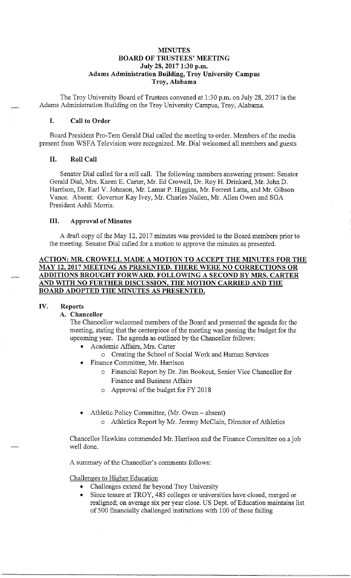### **MINUTES BOARD OF TRUSTEES' MEETING July 28, 2017 1:30 p.m. Adams Administration Building, Troy University Campus Troy, Alabama**

The Troy University Board of Trustees convened at 1 :30 p.m. on July 28, 2017 in the Adams Administration Building on the Troy University Campus, Troy, Alabama.

#### **I. Call to Order**

Board President Pro-Tem Gerald Dial called the meeting to order. Members of the media present from WSFA Television were recognized. Mr. Dial welcomed all members and guests

## **II. Roll Call**

Senator Dial called for a roll call. The following members answering present: Senator Gerald Dial, Mrs. Karen E. Carter, Mr. Ed Crowell, Dr. Roy H. Drinkard, Mr. John D. Harrison, Dr. Earl V. Johnson, Mr. Lamar P. Higgins, Mr. Forrest Latta, and Mr. Gibson Vance. Absent: Governor Kay Ivey, Mr. Charles Nailen, Mr. Allen Owen and SGA President Ashli Morris.

#### **III. Approval of Minutes**

A draft copy of the May 12, 2017 minutes was provided to the Board members prior to the meeting. Senator Dial called for a motion to approve the minutes as presented.

## **ACTION: MR. CROWELL MADE A MOTION TO ACCEPT THE MINUTES FOR THE MAY 12, 2017 MEETING AS PRESENTED. THERE. WERE NO CORRECTIONS OR ADDITIONS BROUGHT FORWARD. FOLLOWING A SECOND BY MRS. CARTER AND WITH NO FURTHER DISCUSSION, THE MOTION CARRIED AND THE BOARD ADOPTED THE MINUTES AS PRESENTED.**

## **IV. Reports**

#### **A. Chancellor**

The Chancellor welcomed members of the Board and presented the agenda for the meeting, stating that the centerpiece of the meeting was passing the budget for the upcoming year. The agenda as outlined by the Chancellor follows:

- Academic Affairs, Mrs. Carter
	- o Creating the School of Social Work and Human Services
- Finance Committee, Mr. Harrison
	- o Financial Report by Dr. Jim Bookout, Senior Vice Chancellor for Finance and Business Affairs
	- o Approval of the budget for FY 2018
- Athletic Policy Committee, (Mr. Owen absent)
	- o Athletics Report by Mr. Jeremy McClain, Director of Athletics

Chancellor Hawkins commended Mr. Harrison and the Finance Committee on a job well done.

A summary of the Chancellor's comments follows:

Challenges to Higher Education

- Challenges extend far beyond Troy University
- Since tenure at TROY, 485 colleges or universities have closed, merged or realigned; on average six per year close. US Dept. of Education maintains list of500 financially challenged institutions with 100 of those failing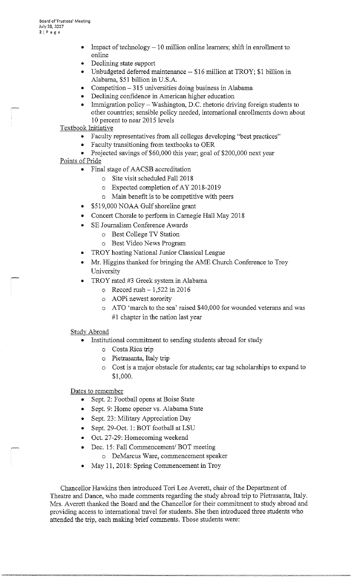- Impact of technology  $-10$  million online learners; shift in enrollment to online
- Declining state support
- Unbudgeted deferred maintenance -- \$16 million at TROY; \$1 billion in Alabama, \$51 billion in U.S.A.
- Competition  $-315$  universities doing business in Alabama
- Declining confidence in American higher education
- Immigration policy Washington, D.C. rhetoric driving foreign students to other countries; sensible policy needed, international enrollments down about 10 percent to near 2015 levels
- Textbook Initiative
	- Faculty representatives from all colleges developing "best practices"
	- Faculty transitioning from textbooks to OER
	- Projected savings of \$60,000 this year; goal of \$200,000 next year
- Points of Pride
	- Final stage of AACSB accreditation
		- o Site visit scheduled Fall 2018
		- o Expected completion of AY 2018-2019
		- o Main benefit is to be competitive with peers
	- \$519,000 NOAA Gulf shoreline grant
	- Concert Chorale to perform in Carnegie Hall May 2018
	- SE Journalism Conference Awards
		- o Best College TV Station
		- o Best Video News Program
	- TROY hosting National Junior Classical League
	- Mr. Higgins thanked for bringing the AME Church Conference to Troy University
	- TROY rated #3 Greek system in Alabama
		- o Record rush  $-1,522$  in 2016
		- o AOPi newest sorority
		- o ATO 'march to the sea' raised \$40,000 for wounded veterans and was  $#1$  chapter in the nation last year

## Study Abroad

- Institutional commitment to sending students abroad for study
	- o Costa Rica trip
	- o Pietrasanta, Italy trip
	- o Cost is a major obstacle for students; car tag scholarships to expand to \$1,000.

## Dates to remember

- Sept. 2: Football opens at Boise State
- Sept. 9: Home opener vs. Alabama State
- Sept. 23: Military Appreciation Day
- Sept. 29-Oct. 1: BOT football at LSU
- Oct. 27-29: Homecoming weekend
- Dec. 15: Fall Commencement/ BOT meeting o DeMarcus Ware, commencement speaker
- May 11, 2018: Spring Commencement in Troy

Chancellor Hawkins then introduced Tori Lee Averett, chair of the Department of Theatre and Dance, who made comments regarding the study abroad trip to Pietrasanta, Italy. Mrs. Averett thanked the Board and the Chancellor for their commitment to study abroad and providing access to international travel for students. She then introduced three students who attended the trip, each making brief comments. Those students were: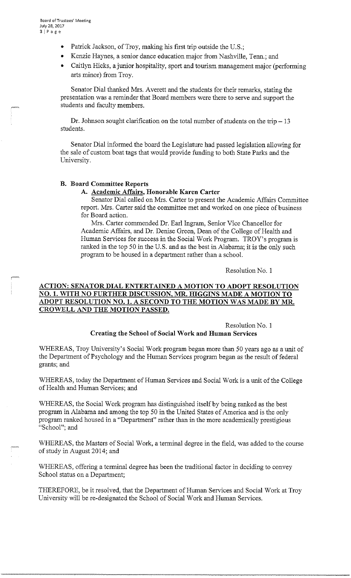- Patrick Jackson, of Troy, making his first trip outside the U.S.;
- Kenzie Haynes, a senior dance education major from Nashville, Tenn.; and
- Caitlyn Hicks, a junior hospitality, sport and tourism management major (performing arts minor) from Troy.

Senator Dial thanked Mrs. Averett and the students for their remarks, stating the presentation was a reminder that Board members were there to serve and support the students and faculty members.

Dr. Johnson sought clarification on the total number of students on the trip  $-13$ students.

Senator Dial informed the board the Legislature had passed legislation allowing for the sale of custom boat tags that would provide funding to both State Parks and the University.

# **B. Board Committee Reports**

#### **A. Academic Affairs, Honorable Karen Carter**

Senator Dial called on Mrs. Carter to present the Academic Affairs Committee report. Mrs. Carter said the committee met and worked on one piece of business for Board action.

Mrs. Carter commended Dr. Earl Ingram, Senior Vice Chancellor for Academic Affairs, and Dr. Denise Green, Dean of the College of Health and Human Services for success in the Social Work Program. TROY's program is ranked in the top 50 in the U.S. and as the best in Alabama; it is the only such program to be housed in a department rather than a school.

Resolution No. **1** 

## **ACTION: SENATOR DIAL ENTERTAINED A MOTION TO ADOPT RESOLUTION NO. 1. WITH NO FURTHER DISCUSSION, MR. HIGGINS MADE A MOTION TO ADOPT RESOLUTION NO. 1. A SECOND TO THE MOTION WAS MADE BY MR. CROWELL AND THE MOTION PASSED.**

Resolution No. **1 Creating the School of Social Work and Human Services** 

WHEREAS, Troy University's Social Work program began more than 50 years ago as a unit of the Department of Psychology and the Human Services program began as the result of federal grants; and

WHEREAS, today the Department of Human Services and Social Work is a unit of the College of Health and Human Services; and

WHEREAS, the Social Work program has distinguished itself by being ranked as the best program in Alabama and among the top 50 in the United States of America and is the only program ranked housed in a "Department" rather than in the more academically prestigious "School"; and

WHEREAS, the Masters of Social Work, a terminal degree in the field, was added to the course of study in August 2014; and

WHEREAS, offering a terminal degree has been the traditional factor in deciding to convey School status on a Department;

THEREFORE, be it resolved, that the Department of Human Services and Social Work at Troy University will be re-designated the School of Social Work and Human Services.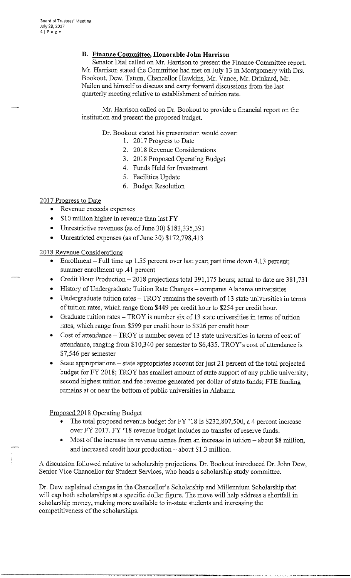# **B. Finance Committee, Honorable John Harrison**

Senator Dial called on Mr. Harrison to present the Finance Committee report. Mr. Harrison stated the Committee had met on July 13 in Montgomery with Drs. Bookout, Dew, Tatum, Chancellor Hawkins, Mr. Vance, Mr. Drinkard, Mr. Nailen and himself to discuss and carry forward discussions from the last quarterly meeting relative to establishment of tuition rate.

Mr. Harrison called on Dr. Bookout to provide a financial report on the institution and present the proposed budget.

Dr. Bookout stated his presentation would cover:

- 1. 2017 Progress to Date
- 2. 2018 Revenue Considerations
- 3. 2018 Proposed Operating Budget
- 4. Funds Held for Investment
- 5. Facilities Update
- 6. Budget Resolution

### 2017 Progress to Date

- Revenue exceeds expenses
- \$10 million higher in revenue than last FY
- Unrestrictive revenues (as of June 30) \$183,335,391
- Umestricted expenses (as of June 30) \$172,798,413

2018 Revenue Considerations

- Emollment Full time up 1.55 percent over last year; part time down 4.13 percent; sununer emollment up .41 percent
- Credit Hour Production- 2018 projections total 391,175 hours; actual to date are 381,731
- History of Undergraduate Tuition Rate Changes compares Alabama universities
- Undergraduate tuition rates TROY remains the seventh of 13 state universities in terms of tuition rates, which range from \$449 per credit hour to \$254 per credit hour.
- Graduate tuition rates TROY is number six of 13 state universities in terms of tuition rates, which range from \$599 per credit hour to \$326 per credit hour
- Cost of attendance TROY is number seven of 13 state universities in terms of cost of attendance, ranging from \$10,340 per semester to \$6,435. TROY's cost of attendance is \$7,546 per semester
- State appropriations state appropriates account for just 21 percent of the total projected budget for FY 2018; TROY has smallest amount of state support of any public university; second highest tuition and fee revenue generated per dollar of state funds; FTE funding remains at or near the bottom of public universities in Alabama

## Proposed 2018 Operating Budget

----·•e-·-

- The total proposed revenue budget for FY '18 is \$232,807,500, a 4 percent increase over FY 2017. FY '18 revenue budget includes no transfer of reserve funds.
- Most of the increase in revenue comes from an increase in tuition  $-$  about \$8 million, and increased credit hour production - about \$1.3 million.

A discussion followed relative to scholarship projections. Dr. Bookout introduced Dr. John Dew, Senior Vice Chancellor for Student Services, who heads a scholarship study committee.

Dr. Dew explained changes in the Chancellor's Scholarship and Millennium Scholarship that will cap both scholarships at a specific dollar figure. The move will help address a shortfall in scholarship money, making more available to in-state students and increasing the competitiveness of the scholarships.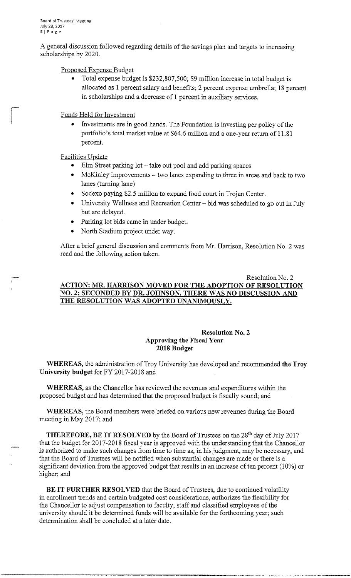~

A general discussion followed regarding details of the savings plan and targets to increasing scholarships by 2020.

Proposed Expense Budget

• Total expense budget is \$232,807,500; \$9 million increase in total budget is allocated as 1 percent salary and benefits; 2 percent expense umbrella; 18 percent in scholarships and a decrease of 1 percent in auxiliary services.

Funds Held for Investment

• Investments are in good hands. The Foundation is investing per policy of the portfolio's total market value at \$64.6 million and a one-year return of 11.81 percent.

## Facilities Update

- Elm Street parking lot take out pool and add parking spaces
- McKinley improvements two lanes expanding to three in areas and back to two lanes (turning lane)
- Sodexo paying \$2.5 million to expand food court in Trojan Center.
- University Wellness and Recreation Center bid was scheduled to go out in July but are delayed.
- Parking lot bids came in under budget.
- North Stadium project under way.

After a brief general discussion and comments from Mr. Harrison, Resolution No. 2 was read and the following action taken.

# Resolution No. 2 **ACTION: MR. HARRISON MOVED FOR THE ADOPTION OF RESOLUTION NO. 2; SECONDED BY DR. JOHNSON. THERE WAS NO DISCUSSION AND**  THE RESOLUTION WAS ADOPTED UNANIMOUSLY.

### **Resolution No. 2 Approving the Fiscal Year 2018 Budget**

**WHEREAS,** the administration of Troy University has developed and recommended **the Troy University budget** for FY 2017-2018 and

**WHEREAS,** as the Chancellor has reviewed the revenues and expenditures within the proposed budget and has determined that the proposed budget is fiscally sound; and

**WHEREAS,** the Board members were briefed on various new revenues during the Board meeting in May 2017; and

**THEREFORE, BE IT RESOLVED** by the Board of Trustees on the 28<sup>th</sup> day of July 2017 that the budget for 2017-2018 fiscal year is approved with the understanding that the Chancellor is authorized to make such changes from time to time as, in his judgment, may be necessary, and that the Board of Trustees will be notified when substantial changes are made or there is a significant deviation from the approved budget that results in an increase of ten percent (10%) or higher; and

**BE IT FURTHER RESOLVED** that the Board of Trustees, due to continued volatility in enrollment trends and certain budgeted cost considerations, authorizes the flexibility for the Chancellor to adjust compensation to faculty, staff and classified employees of the university should it be determined funds will be available for the forthcoming year; such determination shall be concluded at a later date.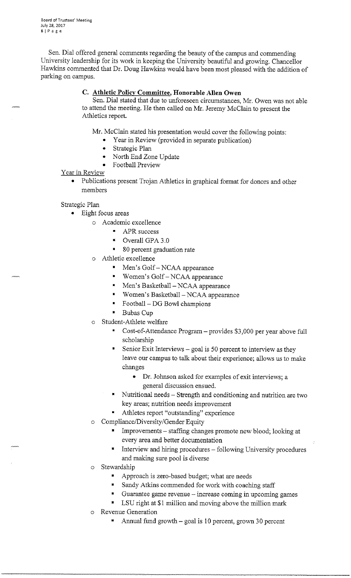Sen. Dial offered general connnents regarding the beauty of the campus and connnending University leadership for its work in keeping the University beautiful and growing. Chancellor Hawkins connnented that Dr. Doug Hawkins would have been most pleased with the addition of parking on campus.

# **C. Athletic Policy Committee, Honorable Allen Owen**

Sen. Dial stated that due to unforeseen circumstances, Mr. Owen was not able to attend the meeting. He then called on Mr. Jeremy McClain to present the Athletics report.

Mr. McClain stated his presentation would cover the following points:

- Year in Review (provided in separate publication)
- Strategic Plan
- North End Zone Update
- Football Preview

## Year in Review

• Publications present Trojan Athletics in graphical format for donors and other members

Strategic Plan

- Eight focus areas
	- o Academic excellence
		- APR success
		- Overall GPA 3.0
		- 80 percent graduation rate
	- o Athletic excellence
		- Men's Golf- NCAA appearance
		- Women's Golf-NCAA appearance
		- Men's Basketball NCAA appearance
		- Women's Basketball- NCAA appearance
		- Football DG Bowl champions
		- Bubas Cup
	- Student-Athlete welfare
		- Cost-of-Attendance Program provides \$3,000 per year above full scholarship
		- Senior Exit Interviews goal is 50 percent to interview as they leave our campus to talk about their experience; allows us to make changes
			- Dr. Johnson asked for examples of exit interviews; a general discussion ensued.
		- Nutritional needs Strength and conditioning and nutrition are two key areas; nutrition needs improvement
		- Athletes report "outstanding" experience
	- o Compliance/Diversity/Gender Equity
		- Improvements staffing changes promote new blood; looking at every area and better documentation
		- Interview and hiring procedures following University procedures and making sure pool is diverse
	- o Stewardship
		- Approach is zero-based budget; what are needs
		- Sandy Atkins connnended for work with coaching staff
		- Guarantee game revenue increase coming in upcoming games
		- LSU right at \$1 million and moving above the million mark
	- o Revenue Generation

--·-,,~·---· \_., \_\_. ---·- =~=="'."~

Annual fund growth – goal is 10 percent, grown 30 percent